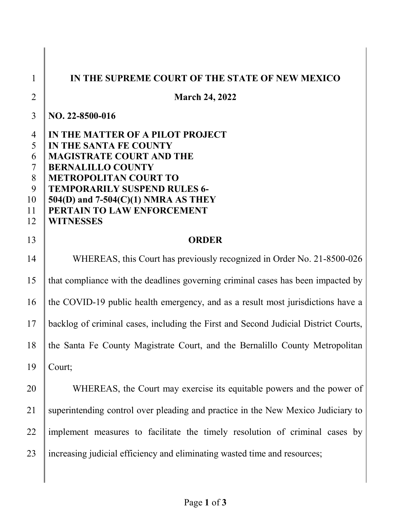| $\mathbf{1}$                                                   | IN THE SUPREME COURT OF THE STATE OF NEW MEXICO                                                                                                                                                                                                                                               |
|----------------------------------------------------------------|-----------------------------------------------------------------------------------------------------------------------------------------------------------------------------------------------------------------------------------------------------------------------------------------------|
| $\overline{2}$                                                 | <b>March 24, 2022</b>                                                                                                                                                                                                                                                                         |
| $\overline{3}$                                                 | NO. 22-8500-016                                                                                                                                                                                                                                                                               |
| $\overline{4}$<br>5<br>6<br>$\tau$<br>8<br>9<br>10<br>11<br>12 | IN THE MATTER OF A PILOT PROJECT<br>IN THE SANTA FE COUNTY<br><b>MAGISTRATE COURT AND THE</b><br><b>BERNALILLO COUNTY</b><br><b>METROPOLITAN COURT TO</b><br><b>TEMPORARILY SUSPEND RULES 6-</b><br>$504(D)$ and $7-504(C)(1)$ NMRA AS THEY<br>PERTAIN TO LAW ENFORCEMENT<br><b>WITNESSES</b> |
| 13                                                             | <b>ORDER</b>                                                                                                                                                                                                                                                                                  |
| 14                                                             | WHEREAS, this Court has previously recognized in Order No. 21-8500-026                                                                                                                                                                                                                        |
| 15                                                             | that compliance with the deadlines governing criminal cases has been impacted by                                                                                                                                                                                                              |
| 16                                                             | the COVID-19 public health emergency, and as a result most jurisdictions have a                                                                                                                                                                                                               |
| 17                                                             | backlog of criminal cases, including the First and Second Judicial District Courts,                                                                                                                                                                                                           |
| 18                                                             | the Santa Fe County Magistrate Court, and the Bernalillo County Metropolitan                                                                                                                                                                                                                  |
| 19                                                             | Court;                                                                                                                                                                                                                                                                                        |
| 20                                                             | WHEREAS, the Court may exercise its equitable powers and the power of                                                                                                                                                                                                                         |
| 21                                                             | superintending control over pleading and practice in the New Mexico Judiciary to                                                                                                                                                                                                              |
| 22                                                             | implement measures to facilitate the timely resolution of criminal cases by                                                                                                                                                                                                                   |
| 23                                                             | increasing judicial efficiency and eliminating wasted time and resources;                                                                                                                                                                                                                     |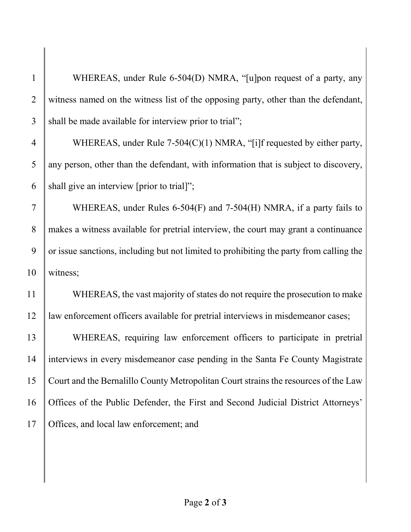1 WHEREAS, under Rule 6-504(D) NMRA, "[u]pon request of a party, any 2 witness named on the witness list of the opposing party, other than the defendant,  $3$  shall be made available for interview prior to trial";

4 WHEREAS, under Rule 7-504(C)(1) NMRA, "[i]f requested by either party,  $5$  any person, other than the defendant, with information that is subject to discovery, 6 shall give an interview [prior to trial]";

7 WHEREAS, under Rules 6-504 $(F)$  and 7-504 $(H)$  NMRA, if a party fails to 8 makes a witness available for pretrial interview, the court may grant a continuance  $9 \parallel$  or issue sanctions, including but not limited to prohibiting the party from calling the 10 witness;

11 WHEREAS, the vast majority of states do not require the prosecution to make 12 law enforcement officers available for pretrial interviews in misdemeanor cases;

 WHEREAS, requiring law enforcement officers to participate in pretrial interviews in every misdemeanor case pending in the Santa Fe County Magistrate Court and the Bernalillo County Metropolitan Court strains the resources of the Law Offices of the Public Defender, the First and Second Judicial District Attorneys' 17 | Offices, and local law enforcement; and